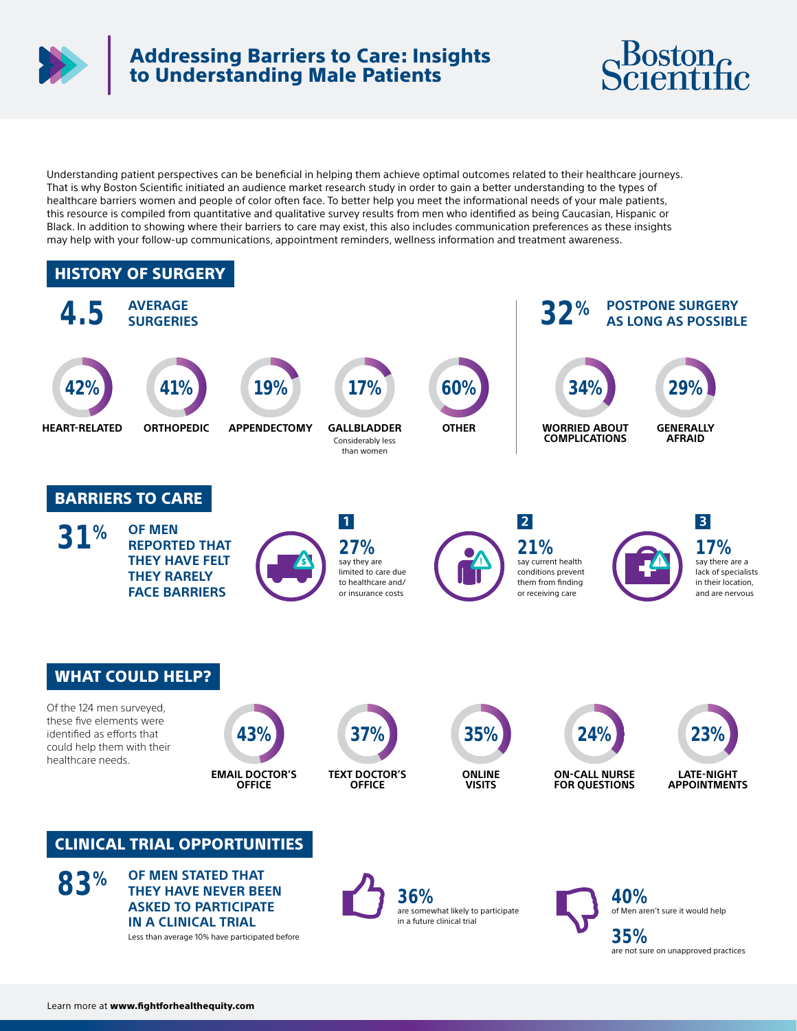

# Addressing Barriers to Care: Insights to Understanding Male Patients



Understanding patient perspectives can be beneficial in helping them achieve optimal outcomes related to their healthcare journeys. That is why Boston Scientific initiated an audience market research study in order to gain a better understanding to the types of healthcare barriers women and people of color often face. To better help you meet the informational needs of your male patients, this resource is compiled from quantitative and qualitative survey results from men who identified as being Caucasian, Hispanic or Black. In addition to showing where their barriers to care may exist, this also includes communication preferences as these insights may help with your follow-up communications, appointment reminders, wellness information and treatment awareness.